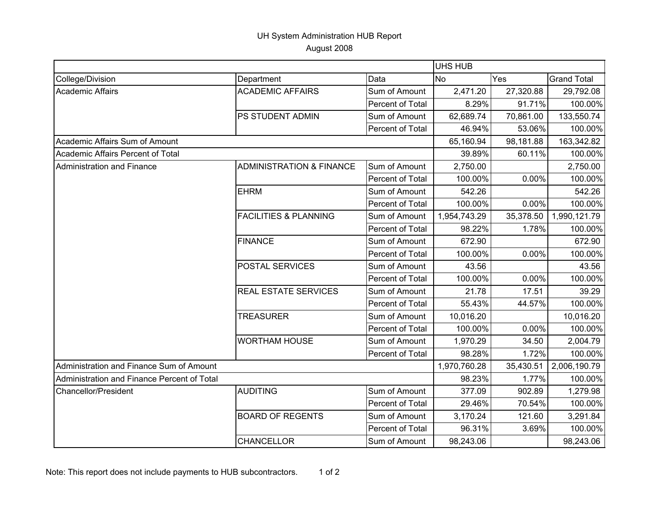## UH System Administration HUB Report August 2008

|                                             |                                     |                  | UHS HUB      |           |                    |
|---------------------------------------------|-------------------------------------|------------------|--------------|-----------|--------------------|
| College/Division                            | Department                          | Data             | <b>No</b>    | Yes       | <b>Grand Total</b> |
| <b>Academic Affairs</b>                     | <b>ACADEMIC AFFAIRS</b>             | Sum of Amount    | 2,471.20     | 27,320.88 | 29,792.08          |
|                                             |                                     | Percent of Total | 8.29%        | 91.71%    | 100.00%            |
|                                             | PS STUDENT ADMIN                    | Sum of Amount    | 62,689.74    | 70,861.00 | 133,550.74         |
|                                             |                                     | Percent of Total | 46.94%       | 53.06%    | 100.00%            |
| Academic Affairs Sum of Amount              |                                     |                  | 65,160.94    | 98,181.88 | 163,342.82         |
| Academic Affairs Percent of Total           |                                     |                  | 39.89%       | 60.11%    | 100.00%            |
| Administration and Finance                  | <b>ADMINISTRATION &amp; FINANCE</b> | Sum of Amount    | 2,750.00     |           | 2,750.00           |
|                                             |                                     | Percent of Total | 100.00%      | 0.00%     | 100.00%            |
|                                             | <b>EHRM</b>                         | Sum of Amount    | 542.26       |           | 542.26             |
|                                             |                                     | Percent of Total | 100.00%      | 0.00%     | 100.00%            |
|                                             | <b>FACILITIES &amp; PLANNING</b>    | Sum of Amount    | 1,954,743.29 | 35,378.50 | 1,990,121.79       |
|                                             |                                     | Percent of Total | 98.22%       | 1.78%     | 100.00%            |
|                                             | <b>FINANCE</b>                      | Sum of Amount    | 672.90       |           | 672.90             |
|                                             |                                     | Percent of Total | 100.00%      | 0.00%     | 100.00%            |
|                                             | POSTAL SERVICES                     | Sum of Amount    | 43.56        |           | 43.56              |
|                                             |                                     | Percent of Total | 100.00%      | 0.00%     | 100.00%            |
|                                             | <b>REAL ESTATE SERVICES</b>         | Sum of Amount    | 21.78        | 17.51     | 39.29              |
|                                             |                                     | Percent of Total | 55.43%       | 44.57%    | 100.00%            |
|                                             | <b>TREASURER</b>                    | Sum of Amount    | 10,016.20    |           | 10,016.20          |
|                                             |                                     | Percent of Total | 100.00%      | 0.00%     | 100.00%            |
|                                             | <b>WORTHAM HOUSE</b>                | Sum of Amount    | 1,970.29     | 34.50     | 2,004.79           |
|                                             |                                     | Percent of Total | 98.28%       | 1.72%     | 100.00%            |
| Administration and Finance Sum of Amount    |                                     |                  | 1,970,760.28 | 35,430.51 | 2,006,190.79       |
| Administration and Finance Percent of Total |                                     |                  | 98.23%       | 1.77%     | 100.00%            |
| Chancellor/President                        | <b>AUDITING</b>                     | Sum of Amount    | 377.09       | 902.89    | 1,279.98           |
|                                             |                                     | Percent of Total | 29.46%       | 70.54%    | 100.00%            |
|                                             | <b>BOARD OF REGENTS</b>             | Sum of Amount    | 3,170.24     | 121.60    | 3,291.84           |
|                                             |                                     | Percent of Total | 96.31%       | 3.69%     | 100.00%            |
|                                             | <b>CHANCELLOR</b>                   | Sum of Amount    | 98,243.06    |           | 98,243.06          |